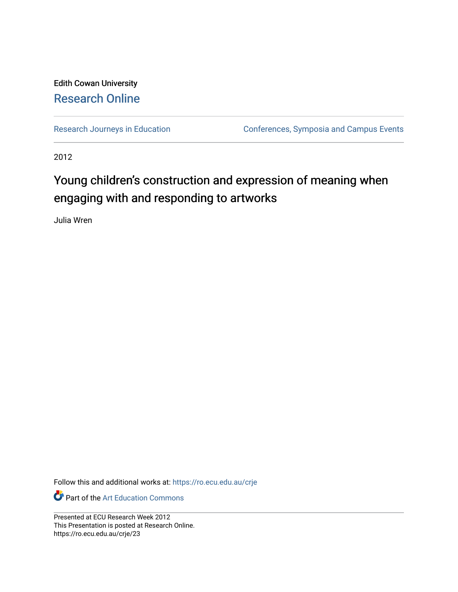### Edith Cowan University [Research Online](https://ro.ecu.edu.au/)

[Research Journeys in Education](https://ro.ecu.edu.au/crje) **Conferences**, Symposia and Campus Events

2012

### Young children's construction and expression of meaning when engaging with and responding to artworks

Julia Wren

Follow this and additional works at: [https://ro.ecu.edu.au/crje](https://ro.ecu.edu.au/crje?utm_source=ro.ecu.edu.au%2Fcrje%2F23&utm_medium=PDF&utm_campaign=PDFCoverPages) 

**P** Part of the Art Education Commons

Presented at ECU Research Week 2012 This Presentation is posted at Research Online. https://ro.ecu.edu.au/crje/23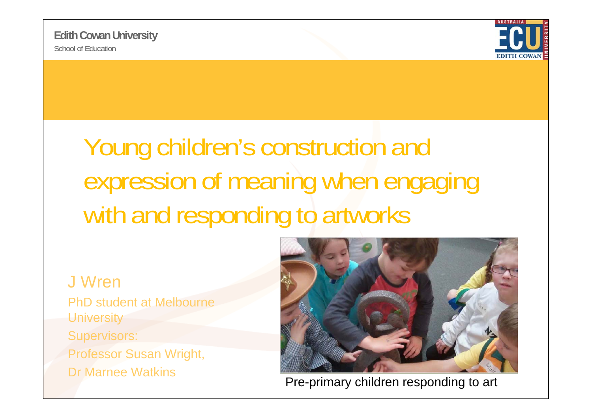

## Young children's construction and expression of meaning when engaging with and responding to artworks

### J Wren

PhD student at Melbourne **University** Supervisors: **Professor Susan Wright,** Dr Marnee Watkins



Pre-primary children responding to art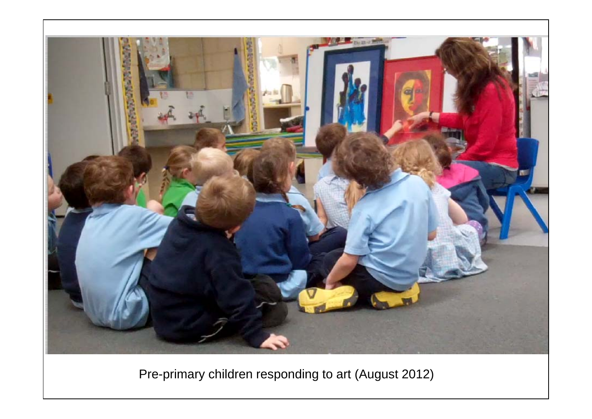

Pre-primary children responding to art (August 2012)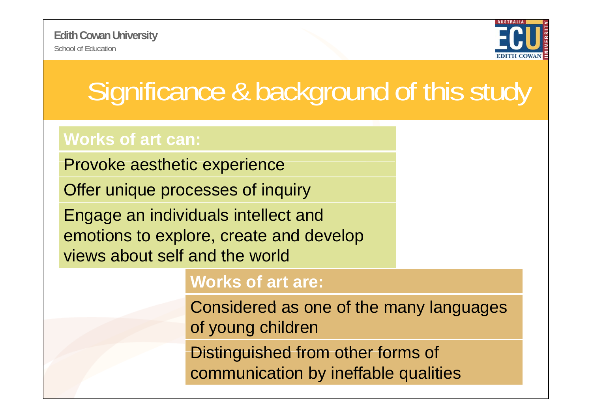

# Significance & background of this study

### **Works of art can:**

Provoke aesthetic experience

Offer unique processes of inquiry

Engage an individuals intellect and emotions to explore, create and develop views about self and the world

### **Works of art are:**

Considered as one of the many languages of young children

Distinguished from other forms of communication by ineffable qualities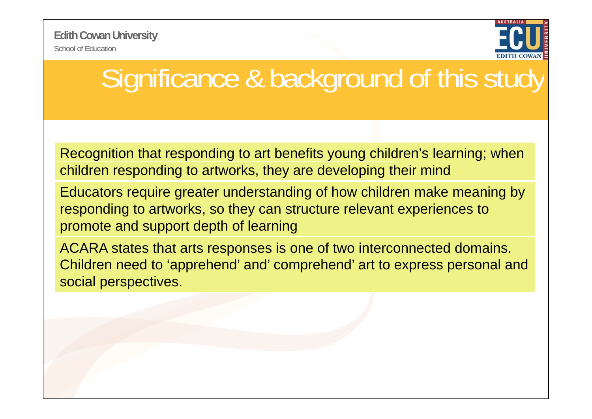School of Education**Edith Cowan University**



## Significance & background of this study

Recognition that responding to art benefits young children's learning; when children responding to artworks, they are developing their mind

Educators require greater understanding of how children make meaning by responding to artworks, so they can structure relevant experiences to promote and support depth of learning

ACARA states that arts responses is one of two interconnected domains. Children need to 'apprehend' and' comprehend' art to express personal and social perspectives.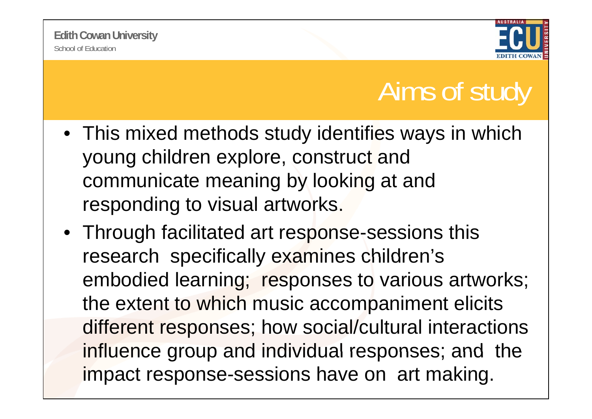

## Aims of study

- This mixed methods study identifies ways in which young children explore, construct and communicate meaning by looking at and responding to visual artworks.
- Through facilitated art response-sessions this research specifically examines children's embodied learning; responses to various artworks; the extent to which music accompaniment elicits different responses; how social/cultural interactions influence group and individual responses; and the impact response-sessions have on art making.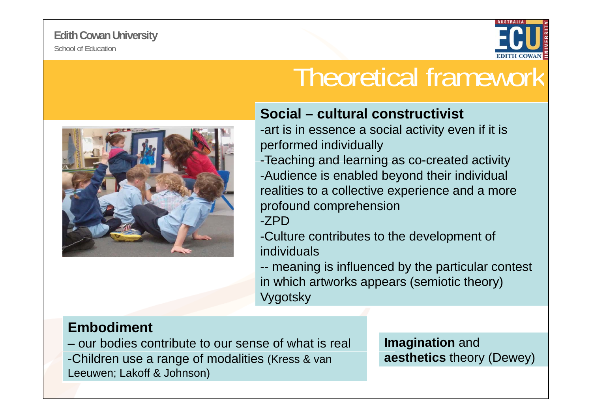

## Theoretical framework

### **Social – cultural constructivist**

-art is in essence a social activity even if it is performed individually

-Teaching and learning as co-created activity -Audience is enabled beyond their individual realities to a collective experience and a more profound comprehension

-ZPD

-Culture contributes to the development of individuals

-- meaning is influenced by the particular contest in which artworks appears (semiotic theory) **Vygotsky** 

### **Embodiment**

– our bodies contribute to our sense of what is real **Imagination** and -Children use a range of modalities (Kress & van Leeuwen; Lakoff & Johnson)

**aesthetics** theory (Dewey)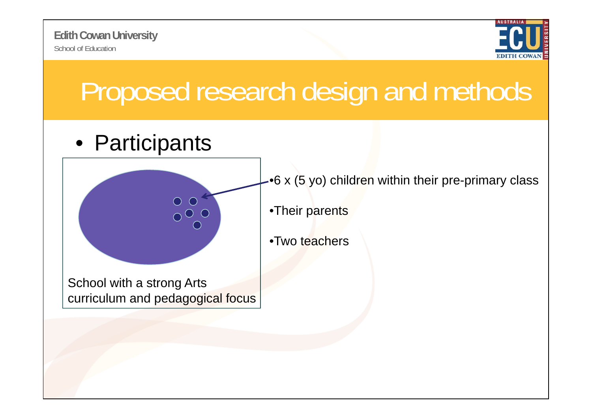



# Proposed research design and methods

### • Participants



•6 x (5 yo) children within their pre-primary class

•Their parents

•Two teachers

School with a strong Arts curriculum and pedagogical focus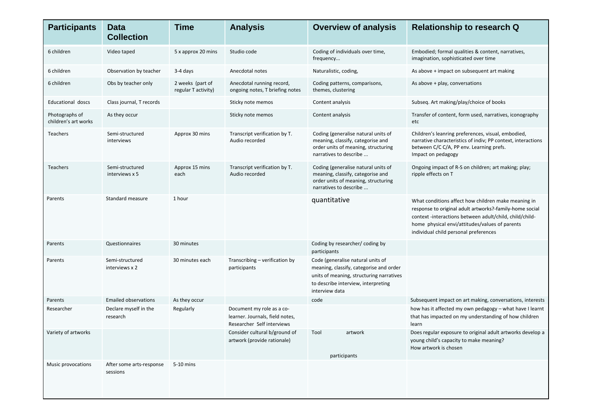| <b>Participants</b>                    | <b>Data</b><br><b>Collection</b>     | <b>Time</b>                             | <b>Analysis</b>                                                                            | <b>Overview of analysis</b>                                                                                                                                                       | <b>Relationship to research Q</b>                                                                                                                                                                                                                                    |
|----------------------------------------|--------------------------------------|-----------------------------------------|--------------------------------------------------------------------------------------------|-----------------------------------------------------------------------------------------------------------------------------------------------------------------------------------|----------------------------------------------------------------------------------------------------------------------------------------------------------------------------------------------------------------------------------------------------------------------|
| 6 children                             | Video taped                          | 5 x approx 20 mins                      | Studio code                                                                                | Coding of individuals over time,<br>frequency                                                                                                                                     | Embodied; formal qualities & content, narratives,<br>imagination, sophisticated over time                                                                                                                                                                            |
| 6 children                             | Observation by teacher               | 3-4 days                                | Anecdotal notes                                                                            | Naturalistic, coding,                                                                                                                                                             | As above + impact on subsequent art making                                                                                                                                                                                                                           |
| 6 children                             | Obs by teacher only                  | 2 weeks (part of<br>regular T activity) | Anecdotal running record,<br>ongoing notes, T briefing notes                               | Coding patterns, comparisons,<br>themes, clustering                                                                                                                               | As above + play, conversations                                                                                                                                                                                                                                       |
| Educational doscs                      | Class journal, T records             |                                         | Sticky note memos                                                                          | Content analysis                                                                                                                                                                  | Subseq. Art making/play/choice of books                                                                                                                                                                                                                              |
| Photographs of<br>children's art works | As they occur                        |                                         | Sticky note memos                                                                          | Content analysis                                                                                                                                                                  | Transfer of content, form used, narratives, iconography<br>etc                                                                                                                                                                                                       |
| <b>Teachers</b>                        | Semi-structured<br>interviews        | Approx 30 mins                          | Transcript verification by T.<br>Audio recorded                                            | Coding (generalise natural units of<br>meaning, classify, categorise and<br>order units of meaning, structuring<br>narratives to describe                                         | Children's leanring preferences, visual, embodied,<br>narrative characteristics of indiv; PP context, interactions<br>between C/C C/A, PP env. Learning prefs.<br>Impact on pedagogy                                                                                 |
| Teachers                               | Semi-structured<br>interviews x 5    | Approx 15 mins<br>each                  | Transcript verification by T.<br>Audio recorded                                            | Coding (generalise natural units of<br>meaning, classify, categorise and<br>order units of meaning, structuring<br>narratives to describe                                         | Ongoing impact of R-S on children; art making; play;<br>ripple effects on T                                                                                                                                                                                          |
| Parents                                | Standard measure                     | 1 hour                                  |                                                                                            | quantitative                                                                                                                                                                      | What conditions affect how children make meaning in<br>response to original adult artworks?-family-home social<br>context -interactions between adult/child, child/child-<br>home physical envi/attitudes/values of parents<br>individual child personal preferences |
| Parents                                | Questionnaires                       | 30 minutes                              |                                                                                            | Coding by researcher/coding by<br>participants                                                                                                                                    |                                                                                                                                                                                                                                                                      |
| Parents                                | Semi-structured<br>interviews x 2    | 30 minutes each                         | Transcribing - verification by<br>participants                                             | Code (generalise natural units of<br>meaning, classify, categorise and order<br>units of meaning, structuring narratives<br>to describe interview, interpreting<br>interview data |                                                                                                                                                                                                                                                                      |
| Parents                                | <b>Emailed observations</b>          | As they occur                           |                                                                                            | code                                                                                                                                                                              | Subsequent impact on art making, conversations, interests                                                                                                                                                                                                            |
| Researcher                             | Declare myself in the<br>research    | Regularly                               | Document my role as a co-<br>learner. Journals, field notes,<br>Researcher Self interviews |                                                                                                                                                                                   | how has it affected my own pedagogy - what have I learnt<br>that has impacted on my understanding of how children<br>learn                                                                                                                                           |
| Variety of artworks                    |                                      |                                         | Consider cultural b/ground of<br>artwork (provide rationale)                               | Tool<br>artwork<br>participants                                                                                                                                                   | Does regular exposure to original adult artworks develop a<br>young child's capacity to make meaning?<br>How artwork is chosen                                                                                                                                       |
| Music provocations                     | After some arts-response<br>sessions | 5-10 mins                               |                                                                                            |                                                                                                                                                                                   |                                                                                                                                                                                                                                                                      |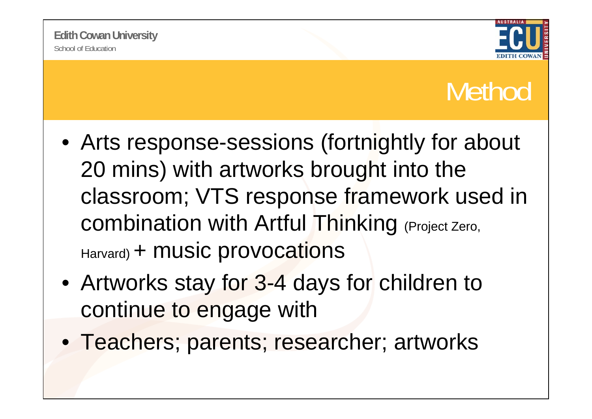

## Method

- Arts response-sessions (fortnightly for about 20 mins) with artworks brought into the classroom; VTS response framework used in combination with Artful Thinking (Project Zero, Harvard) <sup>+</sup> music provocations
- Artworks stay for 3-4 days for children to continue to engage with
- Teachers; parents; researcher; artworks